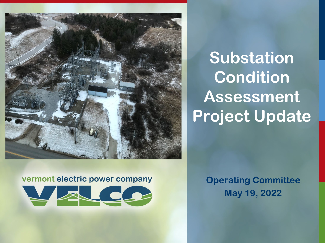

# **Substation Condition Assessment Project Update**

#### vermont electric power company



**Operating Committee May 19, 2022**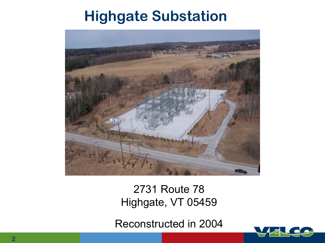#### **Highgate Substation**



2731 Route 78 Highgate, VT 05459

Reconstructed in 2004

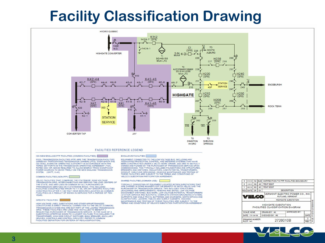#### **Facility Classification Drawing**



POOL TRANSMISSION FACILITIES (PTF) ARE THE TRANSMISSION FACILITIES OWNED BY PARTICIPATING TRANSMISSION OWNERS (PTO), OVER WHICH THE ISO SHALL EXERCISE OPERATING AUTHORITY IN ACCORDANCE WITH THE TERMS SET FORTH IN THE TRANSMISSION OPERATING AGREEMENT (TOA), RATED 69KV OR ABOVE REQUIRED TO ALLOW ENERGY FROM SIGNIFICANT POWER SOURCES TO MOVE FREELY ON THE NEW ENGLAND TRANSMISSION SYSTEM. (OATT, II.49)

#### COMMON FACILITIES (NON-PTF):

VELCO FACILITIES THAT COMPRISE THE STATEWIDE. HIGH VOLTAGE TRANSMISSION GRID, INTERCONNECTING AND SERVING THE LOAD CENTERS OF THE STATE, AND ARE USED IN COMMON BY ALL PURCHASERS OF TRANSMISSION SERVICES ON A STATEWIDE BASIS. THIS INCLUDES FACILITIES CONSTRUCTED PRIOR TO 7-1-90, OR ANY SPECIFIC FACILITIES CONSTRUCTED AFTER 7-1-90 THAT HAVE BEEN RECLASSIFIED AS COMMON FACILITIES AS A RESULT OF BEING IN SERVICE FOR A PERIOD OF TEN **YEARS** 

#### SPECIFIC FACILITIES:

HIGH VOLTAGE LINES, SUBSTATIONS AND OTHER APPURTENANCES CONSTITUTING A DIRECT PHYSICAL CONNECTION TO THE VELCO (COMMON)<br>TRANSMISSION SYSTEM AND ARE NOT PART OF THE LOOPED TRANSMISSION<br>GRID. THESE FACILITIES ARE USED AND INSTALLED TO BENEFIT A REQUESTING PURCHASER OF TRANSMISSION SERVICE. IN THE CASE OF A SUBSTATION (STEPPING DOWN TO A LOWER VOLTAGE) THIS INCLUDES THE TRANSFORMER, HIGH SIDE CIRCUIT SWITCHER, BANK BREAKER, ANCILLARY DEVICES, CONTROLS AND CONTROL CIRCUITRY (REFER TO COMMON FACILITIES DEFINITION FOR CRITERIA OF RECLASSIFICATION).

EQUIPMENT CONNECTED TO THE LOW VOLTAGE BUS, INCLUDING ANY ASSOCIATED PROTECTION, CONTROL, AND METERING SYSTEMS THAT HAVE BEEN CONSTRUCTED UNDER A VELCO WORK ORDER, AND ARE TO BE FULLY OWNED AND FUNDED BY THE PURCHASER OF TRANSMISSION SERVICE UPON COMMISSIONING. THIS TYPICALLY INCLUDES FOUNDATIONS AND STRUCTURES BREAKERS AND SWITCHES, INSULATORS, LINE POTENTIAL TRANSFORMERS CONDUIT, CABLE AND GROUNDING. ONGOING MAINTENANCE AND TESTING OF THESE FACILITIES ARE SUBJECT TO THE TERMS AND CONDITIONS OF VELCO'S SUBSTATION PARTICIPATION AGREEMENT.

#### SHARED FACILITIES (COMMON USE):

TYPICALLY CONSISTING OF EQUIPMENT LOCATED WITHIN SUBSTATIONS THAT ARE SHARED IN SOME MANNER FOR THE BENEFIT OF BOTH VELCO AND THE PURCHASER OF TRANSMISSION SERVICE. THIS INCLUDES STRUCTURES<br>(BUILDINGS) AND IMPROVEMENTS, FENCING AND GATES, LOW VOLTAGE DISCONNECT SWITCHES, BUS WORK, LOW VOLTAGE POTENTIAL TRANSFORMERS (STATION SERVICE AND BUS POTS), COMPLETE STATION GROUNDING SYSTEMS SUPPORTS AND CABLE TRAYS, BATTERIES AND CHARGERS, SWITCHSTICKS AND GLOWTECTORS, LADDERS, TABLES AND SUPPLY CABINETS, ONGOING MAINTENANCE AND TESTING OF THESE FACILITIES ARE SUBJECT TO THE TERMS AND CONDITIONS OF VELCO'S SUBSTATION PARTICIPATION AGREEMENT.

|                  | 15.05.22               | AG  | EJM                        | CORRECTION TO PTF FACILITIES BOUNDARY      |                                                                 |            |                 |
|------------------|------------------------|-----|----------------------------|--------------------------------------------|-----------------------------------------------------------------|------------|-----------------|
| $\overline{2}$   | 12.30.21               | AG. | <b>AG</b>                  | <b>TEXT EDIT</b>                           |                                                                 |            |                 |
|                  | 00.12.19               | AG  | AG.                        | <b>TEXT EDIT</b>                           |                                                                 |            |                 |
|                  | <b>REV DATE</b>        | DR  | СK                         | <b>DESCRIPTION</b>                         |                                                                 |            |                 |
|                  | VELCO                  |     |                            |                                            | VERMONT ELECTRIC POWER CO., INC.<br>RUTLAND, VERMONT            |            |                 |
|                  |                        |     | <b>HIGHGATE SUBSTATION</b> |                                            |                                                                 |            |                 |
|                  | <b>SCALE: NONE</b>     |     |                            | <b>HIGHGATE SUBSTATION</b><br>DRAWN BY: AG | <b>FACILITIES CLASSIFICATION DIAGRAM</b><br><b>APPROVED BY:</b> |            | 20010B<br>72727 |
| DATE: 11-14-14   |                        |     |                            | CHECKED BY: AG                             |                                                                 | DATE       |                 |
|                  | <b>DRAWING NUMBER:</b> |     |                            |                                            |                                                                 |            | 山               |
| <b>PLOT: 1-1</b> |                        |     |                            | 2720010B                                   |                                                                 | <b>REV</b> |                 |

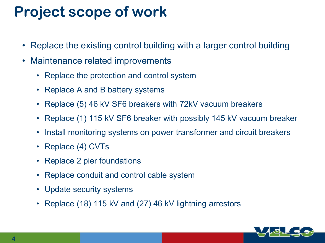## **Project scope of work**

- Replace the existing control building with a larger control building
- Maintenance related improvements
	- Replace the protection and control system
	- Replace A and B battery systems
	- Replace (5) 46 kV SF6 breakers with 72kV vacuum breakers
	- Replace (1) 115 kV SF6 breaker with possibly 145 kV vacuum breaker
	- Install monitoring systems on power transformer and circuit breakers
	- Replace (4) CVTs
	- Replace 2 pier foundations
	- Replace conduit and control cable system
	- Update security systems
	- Replace (18) 115 kV and (27) 46 kV lightning arrestors

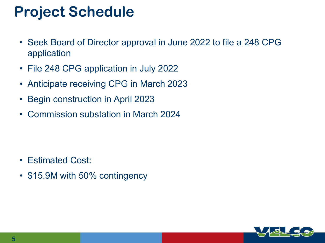### **Project Schedule**

- Seek Board of Director approval in June 2022 to file a 248 CPG application
- File 248 CPG application in July 2022
- Anticipate receiving CPG in March 2023
- Begin construction in April 2023
- Commission substation in March 2024

- Estimated Cost:
- \$15.9M with 50% contingency

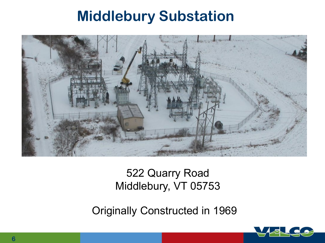#### **Middlebury Substation**



#### 522 Quarry Road Middlebury, VT 05753

Originally Constructed in 1969

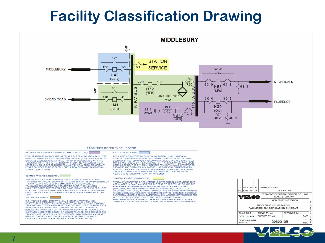### **Facility Classification Drawing**



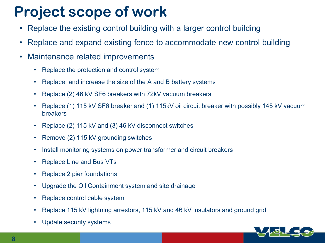### **Project scope of work**

- Replace the existing control building with a larger control building
- Replace and expand existing fence to accommodate new control building
- Maintenance related improvements
	- Replace the protection and control system
	- Replace and increase the size of the A and B battery systems
	- Replace (2) 46 kV SF6 breakers with 72kV vacuum breakers
	- Replace (1) 115 kV SF6 breaker and (1) 115kV oil circuit breaker with possibly 145 kV vacuum breakers
	- Replace (2) 115 kV and (3) 46 kV disconnect switches
	- Remove (2) 115 kV grounding switches
	- Install monitoring systems on power transformer and circuit breakers
	- Replace Line and Bus VTs
	- Replace 2 pier foundations
	- Upgrade the Oil Containment system and site drainage
	- Replace control cable system
	- Replace 115 kV lightning arrestors, 115 kV and 46 kV insulators and ground grid
	- Update security systems